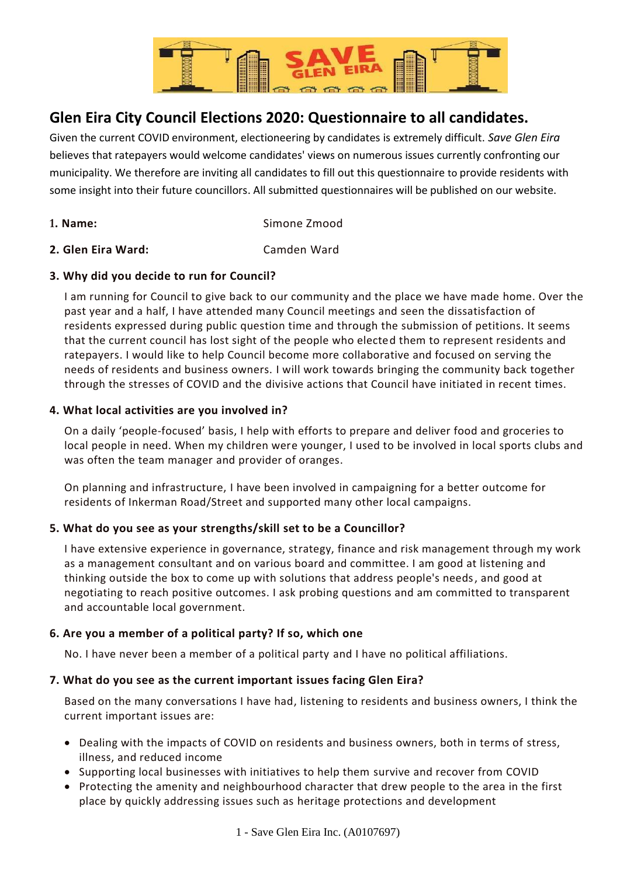

# **Glen Eira City Council Elections 2020: Questionnaire to all candidates.**

Given the current COVID environment, electioneering by candidates is extremely difficult. *Save Glen Eira*  believes that ratepayers would welcome candidates' views on numerous issues currently confronting our municipality. We therefore are inviting all candidates to fill out this questionnaire to provide residents with some insight into their future councillors. All submitted questionnaires will be published on our website.

- **1. Name:** Simone Zmood
- **2. Glen Eira Ward:** Camden Ward

# **3. Why did you decide to run for Council?**

I am running for Council to give back to our community and the place we have made home. Over the past year and a half, I have attended many Council meetings and seen the dissatisfaction of residents expressed during public question time and through the submission of petitions. It seems that the current council has lost sight of the people who elected them to represent residents and ratepayers. I would like to help Council become more collaborative and focused on serving the needs of residents and business owners. I will work towards bringing the community back together through the stresses of COVID and the divisive actions that Council have initiated in recent times.

# **4. What local activities are you involved in?**

On a daily 'people-focused' basis, I help with efforts to prepare and deliver food and groceries to local people in need. When my children were younger, I used to be involved in local sports clubs and was often the team manager and provider of oranges.

On planning and infrastructure, I have been involved in campaigning for a better outcome for residents of Inkerman Road/Street and supported many other local campaigns.

# **5. What do you see as your strengths/skill set to be a Councillor?**

I have extensive experience in governance, strategy, finance and risk management through my work as a management consultant and on various board and committee. I am good at listening and thinking outside the box to come up with solutions that address people's needs, and good at negotiating to reach positive outcomes. I ask probing questions and am committed to transparent and accountable local government.

# **6. Are you a member of a political party? If so, which one**

No. I have never been a member of a political party and I have no political affiliations.

### **7. What do you see as the current important issues facing Glen Eira?**

Based on the many conversations I have had, listening to residents and business owners, I think the current important issues are:

- Dealing with the impacts of COVID on residents and business owners, both in terms of stress, illness, and reduced income
- Supporting local businesses with initiatives to help them survive and recover from COVID
- Protecting the amenity and neighbourhood character that drew people to the area in the first place by quickly addressing issues such as heritage protections and development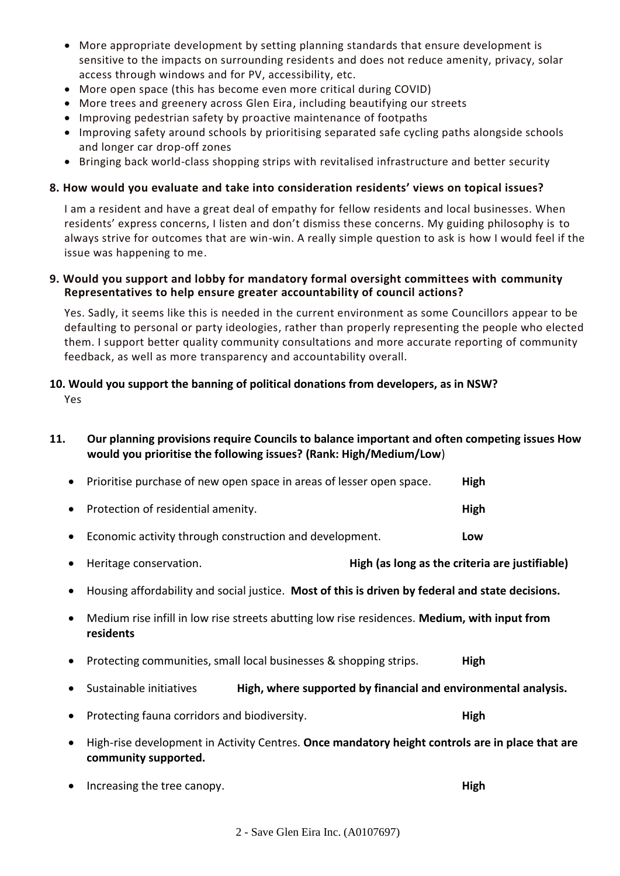- More appropriate development by setting planning standards that ensure development is sensitive to the impacts on surrounding residents and does not reduce amenity, privacy, solar access through windows and for PV, accessibility, etc.
- More open space (this has become even more critical during COVID)
- More trees and greenery across Glen Eira, including beautifying our streets
- Improving pedestrian safety by proactive maintenance of footpaths
- Improving safety around schools by prioritising separated safe cycling paths alongside schools and longer car drop-off zones
- Bringing back world-class shopping strips with revitalised infrastructure and better security

#### **8. How would you evaluate and take into consideration residents' views on topical issues?**

I am a resident and have a great deal of empathy for fellow residents and local businesses. When residents' express concerns, I listen and don't dismiss these concerns. My guiding philosophy is to always strive for outcomes that are win-win. A really simple question to ask is how I would feel if the issue was happening to me.

#### **9. Would you support and lobby for mandatory formal oversight committees with community Representatives to help ensure greater accountability of council actions?**

Yes. Sadly, it seems like this is needed in the current environment as some Councillors appear to be defaulting to personal or party ideologies, rather than properly representing the people who elected them. I support better quality community consultations and more accurate reporting of community feedback, as well as more transparency and accountability overall.

# **10. Would you support the banning of political donations from developers, as in NSW?**

Yes

### **11. Our planning provisions require Councils to balance important and often competing issues How would you prioritise the following issues? (Rank: High/Medium/Low**)

|           | • Prioritise purchase of new open space in areas of lesser open space. | <b>High</b> |
|-----------|------------------------------------------------------------------------|-------------|
|           | • Protection of residential amenity.                                   | High        |
| $\bullet$ | Economic activity through construction and development.                | Low         |

- Heritage conservation. **High (as long as the criteria are justifiable)**
- Housing affordability and social justice. **Most of this is driven by federal and state decisions.**
- Medium rise infill in low rise streets abutting low rise residences. **Medium, with input from residents**
- Protecting communities, small local businesses & shopping strips. **High**
- Sustainable initiatives **High, where supported by financial and environmental analysis.**
- Protecting fauna corridors and biodiversity. **High**
- High-rise development in Activity Centres. **Once mandatory height controls are in place that are community supported.**
- Increasing the tree canopy. **High**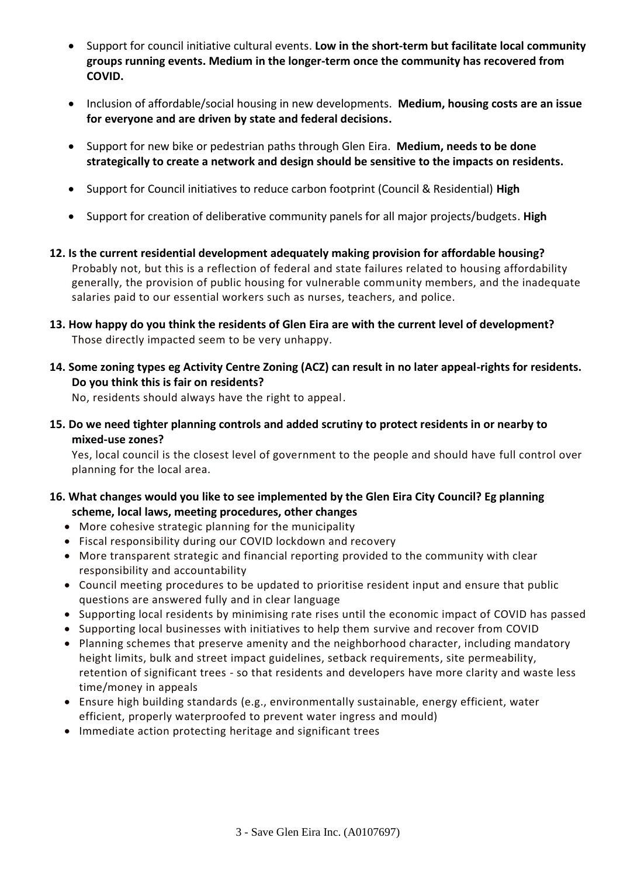- Support for council initiative cultural events. **Low in the short-term but facilitate local community groups running events. Medium in the longer-term once the community has recovered from COVID.**
- Inclusion of affordable/social housing in new developments. **Medium, housing costs are an issue for everyone and are driven by state and federal decisions.**
- Support for new bike or pedestrian paths through Glen Eira. **Medium, needs to be done strategically to create a network and design should be sensitive to the impacts on residents.**
- Support for Council initiatives to reduce carbon footprint (Council & Residential) **High**
- Support for creation of deliberative community panels for all major projects/budgets. **High**
- **12. Is the current residential development adequately making provision for affordable housing?** Probably not, but this is a reflection of federal and state failures related to housing affordability generally, the provision of public housing for vulnerable community members, and the inadequate salaries paid to our essential workers such as nurses, teachers, and police.
- **13. How happy do you think the residents of Glen Eira are with the current level of development?** Those directly impacted seem to be very unhappy.
- **14. Some zoning types eg Activity Centre Zoning (ACZ) can result in no later appeal-rights for residents. Do you think this is fair on residents?**

No, residents should always have the right to appeal.

**15. Do we need tighter planning controls and added scrutiny to protect residents in or nearby to mixed-use zones?**

Yes, local council is the closest level of government to the people and should have full control over planning for the local area.

# **16. What changes would you like to see implemented by the Glen Eira City Council? Eg planning scheme, local laws, meeting procedures, other changes**

- More cohesive strategic planning for the municipality
- Fiscal responsibility during our COVID lockdown and recovery
- More transparent strategic and financial reporting provided to the community with clear responsibility and accountability
- Council meeting procedures to be updated to prioritise resident input and ensure that public questions are answered fully and in clear language
- Supporting local residents by minimising rate rises until the economic impact of COVID has passed
- Supporting local businesses with initiatives to help them survive and recover from COVID
- Planning schemes that preserve amenity and the neighborhood character, including mandatory height limits, bulk and street impact guidelines, setback requirements, site permeability, retention of significant trees - so that residents and developers have more clarity and waste less time/money in appeals
- Ensure high building standards (e.g., environmentally sustainable, energy efficient, water efficient, properly waterproofed to prevent water ingress and mould)
- Immediate action protecting heritage and significant trees